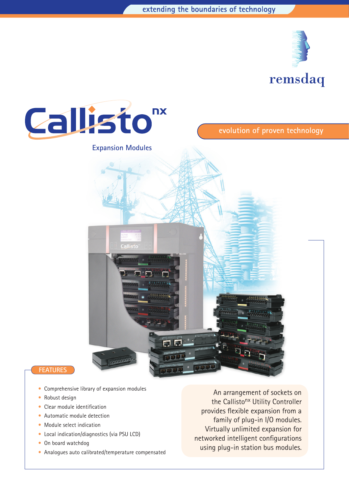



- Comprehensive library of expansion modules
- Robust design
- Clear module identification
- Automatic module detection
- Module select indication
- Local indication/diagnostics (via PSU LCD)
- On board watchdog
- Analogues auto calibrated/temperature compensated

An arrangement of sockets on the Callisto<sup>nx</sup> Utility Controller provides flexible expansion from a family of plug-in I/O modules. Virtually unlimited expansion for networked intelligent configurations using plug-in station bus modules.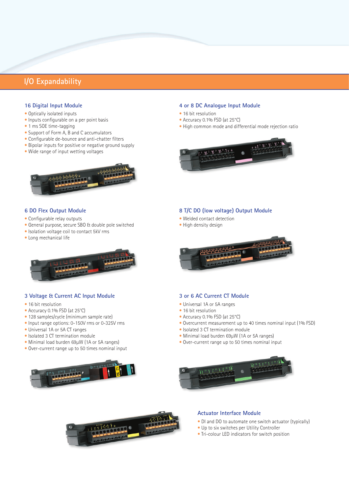# **I/O Expandability**

### **16 Digital Input Module**

- Optically isolated inputs
- Inputs configurable on a per point basis
- 1 ms SOE time-tagging
- Support of Form A, B and C accumulators
- Configurable de-bounce and anti-chatter filters
- Bipolar inputs for positive or negative ground supply
- Wide range of input wetting voltages



# **6 DO Flex Output Module**

- Configurable relay outputs
- General purpose, secure SBO & double pole switched
- Isolation voltage coil to contact 5kV rms
- Long mechanical life



### **3 Voltage & Current AC Input Module**

- 16 bit resolution
- Accuracy 0.1% FSD (at 25ºC)
- 128 samples/cycle (minimum sample rate)
- Input range options: 0-150V rms or 0-325V rms
- Universal 1A or 5A CT ranges
- Isolated 3 CT termination module
- Minimal load burden 69µW (1A or 5A ranges)
- Over-current range up to 50 times nominal input



### **4 or 8 DC Analogue Input Module**

- 16 bit resolution
- Accuracy 0.1% FSD (at 25°C)
- High common mode and differential mode rejection ratio



## **8 T/C DO (low voltage) Output Module**

- Welded contact detection
- High density design



## **3 or 6 AC Current CT Module**

- Universal 1A or 5A ranges
- 16 bit resolution
- Accuracy 0.1% FSD (at 25°C)
- Overcurrent measurement up to 40 times nominal input (1% FSD)
- Isolated 3 CT termination module
- Minimal load burden 69µW (1A or 5A ranges)
- Over-current range up to 50 times nominal input





### **Actuator Interface Module**

- DI and DO to automate one switch actuator (typically)
- Up to six switches per Utility Controller
- Tri-colour LED indicators for switch position